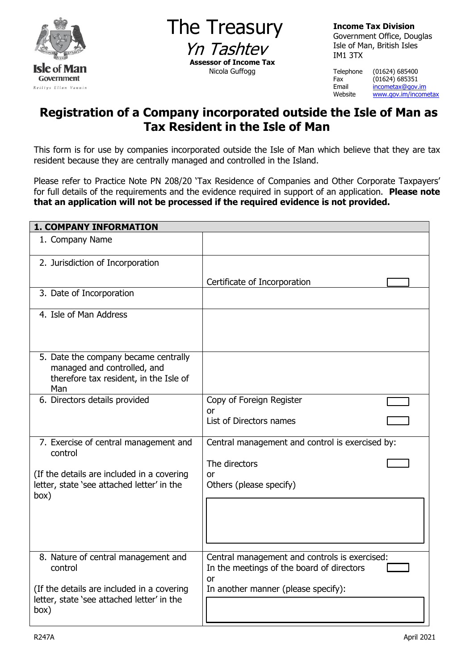

The Treasury Yn Tashtey **Assessor of Income Tax** Nicola Guffogg

**Income Tax Division** Government Office, Douglas Isle of Man, British Isles IM1 3TX

Telephone (01624) 685400 Fax (01624) 685351<br>Email <u>incometax@gov.</u> Email [incometax@gov.im](mailto:incometax@gov.im)<br>Website www.gov.im/incom [www.gov.im/incometax](http://www.gov.im/incometax)

# **Registration of a Company incorporated outside the Isle of Man as Tax Resident in the Isle of Man**

This form is for use by companies incorporated outside the Isle of Man which believe that they are tax resident because they are centrally managed and controlled in the Island.

Please refer to Practice Note PN 208/20 'Tax Residence of Companies and Other Corporate Taxpayers' for full details of the requirements and the evidence required in support of an application. **Please note that an application will not be processed if the required evidence is not provided.** 

| <b>1. COMPANY INFORMATION</b>                                                                                                                        |                                                                                                                                                |
|------------------------------------------------------------------------------------------------------------------------------------------------------|------------------------------------------------------------------------------------------------------------------------------------------------|
| 1. Company Name                                                                                                                                      |                                                                                                                                                |
| 2. Jurisdiction of Incorporation                                                                                                                     |                                                                                                                                                |
|                                                                                                                                                      | Certificate of Incorporation                                                                                                                   |
| 3. Date of Incorporation                                                                                                                             |                                                                                                                                                |
| 4. Isle of Man Address                                                                                                                               |                                                                                                                                                |
| 5. Date the company became centrally<br>managed and controlled, and<br>therefore tax resident, in the Isle of<br>Man                                 |                                                                                                                                                |
| 6. Directors details provided                                                                                                                        | Copy of Foreign Register<br>or<br>List of Directors names                                                                                      |
| 7. Exercise of central management and<br>control<br>(If the details are included in a covering<br>letter, state 'see attached letter' in the<br>box) | Central management and control is exercised by:<br>The directors<br>0r<br>Others (please specify)                                              |
| 8. Nature of central management and<br>control<br>(If the details are included in a covering<br>letter, state 'see attached letter' in the<br>box)   | Central management and controls is exercised:<br>In the meetings of the board of directors<br><b>or</b><br>In another manner (please specify): |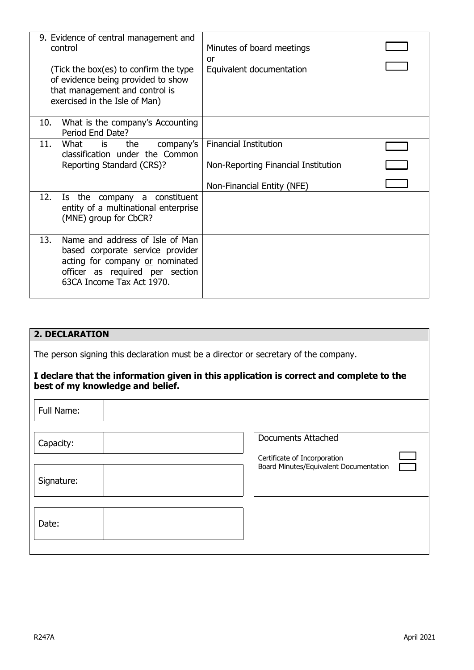| 9. Evidence of central management and                                                                                                                                         |                                     |  |
|-------------------------------------------------------------------------------------------------------------------------------------------------------------------------------|-------------------------------------|--|
| control                                                                                                                                                                       | Minutes of board meetings<br>or     |  |
| (Tick the box(es) to confirm the type<br>of evidence being provided to show<br>that management and control is<br>exercised in the Isle of Man)                                | Equivalent documentation            |  |
| What is the company's Accounting<br>10.<br>Period End Date?                                                                                                                   |                                     |  |
| What is<br>11.<br>the<br>company's                                                                                                                                            | <b>Financial Institution</b>        |  |
| classification under the Common<br>Reporting Standard (CRS)?                                                                                                                  | Non-Reporting Financial Institution |  |
|                                                                                                                                                                               |                                     |  |
|                                                                                                                                                                               | Non-Financial Entity (NFE)          |  |
| 12.<br>Is the company a constituent<br>entity of a multinational enterprise<br>(MNE) group for CbCR?                                                                          |                                     |  |
| 13.<br>Name and address of Isle of Man<br>based corporate service provider<br>acting for company or nominated<br>officer as required per section<br>63CA Income Tax Act 1970. |                                     |  |

#### **2. DECLARATION**

The person signing this declaration must be a director or secretary of the company.

### **I declare that the information given in this application is correct and complete to the best of my knowledge and belief.**

| Full Name: |                                                                        |
|------------|------------------------------------------------------------------------|
| Capacity:  | <b>Documents Attached</b>                                              |
| Signature: | Certificate of Incorporation<br>Board Minutes/Equivalent Documentation |
| Date:      |                                                                        |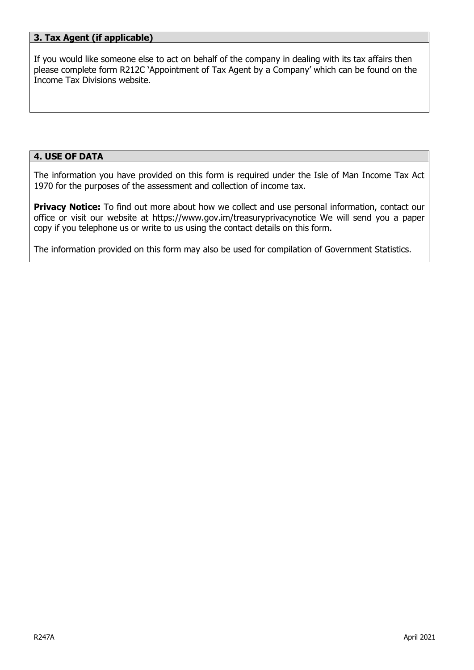### **3. Tax Agent (if applicable)**

If you would like someone else to act on behalf of the company in dealing with its tax affairs then please complete form R212C 'Appointment of Tax Agent by a Company' which can be found on the Income Tax Divisions website.

### **4. USE OF DATA**

The information you have provided on this form is required under the Isle of Man Income Tax Act 1970 for the purposes of the assessment and collection of income tax.

**Privacy Notice:** To find out more about how we collect and use personal information, contact our office or visit our website at https://www.gov.im/treasuryprivacynotice We will send you a paper copy if you telephone us or write to us using the contact details on this form.

The information provided on this form may also be used for compilation of Government Statistics.